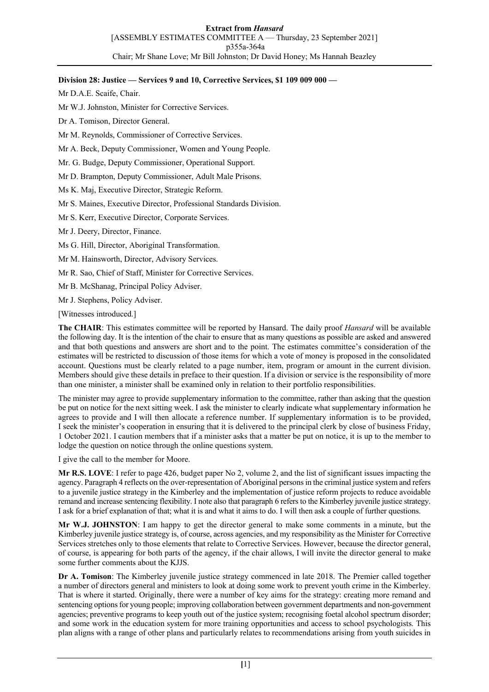### **Division 28: Justice — Services 9 and 10, Corrective Services, \$1 109 009 000 —**

Mr D.A.E. Scaife, Chair.

Mr W.J. Johnston, Minister for Corrective Services.

Dr A. Tomison, Director General.

Mr M. Reynolds, Commissioner of Corrective Services.

Mr A. Beck, Deputy Commissioner, Women and Young People.

Mr. G. Budge, Deputy Commissioner, Operational Support.

Mr D. Brampton, Deputy Commissioner, Adult Male Prisons.

Ms K. Maj, Executive Director, Strategic Reform.

Mr S. Maines, Executive Director, Professional Standards Division.

Mr S. Kerr, Executive Director, Corporate Services.

Mr J. Deery, Director, Finance.

Ms G. Hill, Director, Aboriginal Transformation.

Mr M. Hainsworth, Director, Advisory Services.

Mr R. Sao, Chief of Staff, Minister for Corrective Services.

Mr B. McShanag, Principal Policy Adviser.

Mr J. Stephens, Policy Adviser.

[Witnesses introduced.]

**The CHAIR**: This estimates committee will be reported by Hansard. The daily proof *Hansard* will be available the following day. It is the intention of the chair to ensure that as many questions as possible are asked and answered and that both questions and answers are short and to the point. The estimates committee's consideration of the estimates will be restricted to discussion of those items for which a vote of money is proposed in the consolidated account. Questions must be clearly related to a page number, item, program or amount in the current division. Members should give these details in preface to their question. If a division or service is the responsibility of more than one minister, a minister shall be examined only in relation to their portfolio responsibilities.

The minister may agree to provide supplementary information to the committee, rather than asking that the question be put on notice for the next sitting week. I ask the minister to clearly indicate what supplementary information he agrees to provide and I will then allocate a reference number. If supplementary information is to be provided, I seek the minister's cooperation in ensuring that it is delivered to the principal clerk by close of business Friday, 1 October 2021. I caution members that if a minister asks that a matter be put on notice, it is up to the member to lodge the question on notice through the online questions system.

I give the call to the member for Moore.

**Mr R.S. LOVE**: I refer to page 426, budget paper No 2, volume 2, and the list of significant issues impacting the agency. Paragraph 4 reflects on the over-representation of Aboriginal persons in the criminal justice system and refers to a juvenile justice strategy in the Kimberley and the implementation of justice reform projects to reduce avoidable remand and increase sentencing flexibility. I note also that paragraph 6 refers to the Kimberley juvenile justice strategy. I ask for a brief explanation of that; what it is and what it aims to do. I will then ask a couple of further questions.

**Mr W.J. JOHNSTON**: I am happy to get the director general to make some comments in a minute, but the Kimberley juvenile justice strategy is, of course, across agencies, and my responsibility as the Minister for Corrective Services stretches only to those elements that relate to Corrective Services. However, because the director general, of course, is appearing for both parts of the agency, if the chair allows, I will invite the director general to make some further comments about the KJJS.

**Dr A. Tomison**: The Kimberley juvenile justice strategy commenced in late 2018. The Premier called together a number of directors general and ministers to look at doing some work to prevent youth crime in the Kimberley. That is where it started. Originally, there were a number of key aims for the strategy: creating more remand and sentencing options for young people; improving collaboration between government departments and non-government agencies; preventive programs to keep youth out of the justice system; recognising foetal alcohol spectrum disorder; and some work in the education system for more training opportunities and access to school psychologists. This plan aligns with a range of other plans and particularly relates to recommendations arising from youth suicides in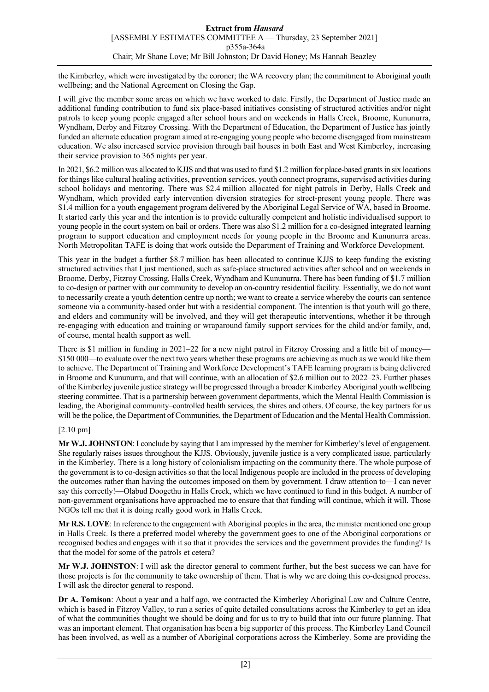the Kimberley, which were investigated by the coroner; the WA recovery plan; the commitment to Aboriginal youth wellbeing; and the National Agreement on Closing the Gap.

I will give the member some areas on which we have worked to date. Firstly, the Department of Justice made an additional funding contribution to fund six place-based initiatives consisting of structured activities and/or night patrols to keep young people engaged after school hours and on weekends in Halls Creek, Broome, Kununurra, Wyndham, Derby and Fitzroy Crossing. With the Department of Education, the Department of Justice has jointly funded an alternate education program aimed at re-engaging young people who become disengaged from mainstream education. We also increased service provision through bail houses in both East and West Kimberley, increasing their service provision to 365 nights per year.

In 2021, \$6.2 million was allocated to KJJS and that was used to fund \$1.2 million for place-based grants in six locations for things like cultural healing activities, prevention services, youth connect programs, supervised activities during school holidays and mentoring. There was \$2.4 million allocated for night patrols in Derby, Halls Creek and Wyndham, which provided early intervention diversion strategies for street-present young people. There was \$1.4 million for a youth engagement program delivered by the Aboriginal Legal Service of WA, based in Broome. It started early this year and the intention is to provide culturally competent and holistic individualised support to young people in the court system on bail or orders. There was also \$1.2 million for a co-designed integrated learning program to support education and employment needs for young people in the Broome and Kununurra areas. North Metropolitan TAFE is doing that work outside the Department of Training and Workforce Development.

This year in the budget a further \$8.7 million has been allocated to continue KJJS to keep funding the existing structured activities that I just mentioned, such as safe-place structured activities after school and on weekends in Broome, Derby, Fitzroy Crossing, Halls Creek, Wyndham and Kununurra. There has been funding of \$1.7 million to co-design or partner with our community to develop an on-country residential facility. Essentially, we do not want to necessarily create a youth detention centre up north; we want to create a service whereby the courts can sentence someone via a community-based order but with a residential component. The intention is that youth will go there, and elders and community will be involved, and they will get therapeutic interventions, whether it be through re-engaging with education and training or wraparound family support services for the child and/or family, and, of course, mental health support as well.

There is \$1 million in funding in 2021–22 for a new night patrol in Fitzroy Crossing and a little bit of money— \$150 000—to evaluate over the next two years whether these programs are achieving as much as we would like them to achieve. The Department of Training and Workforce Development's TAFE learning program is being delivered in Broome and Kununurra, and that will continue, with an allocation of \$2.6 million out to 2022–23. Further phases of the Kimberley juvenile justice strategy will be progressed through a broader Kimberley Aboriginal youth wellbeing steering committee. That is a partnership between government departments, which the Mental Health Commission is leading, the Aboriginal community–controlled health services, the shires and others. Of course, the key partners for us will be the police, the Department of Communities, the Department of Education and the Mental Health Commission.

# [2.10 pm]

**Mr W.J. JOHNSTON**: I conclude by saying that I am impressed by the member for Kimberley's level of engagement. She regularly raises issues throughout the KJJS. Obviously, juvenile justice is a very complicated issue, particularly in the Kimberley. There is a long history of colonialism impacting on the community there. The whole purpose of the government is to co-design activities so that the local Indigenous people are included in the process of developing the outcomes rather than having the outcomes imposed on them by government. I draw attention to—I can never say this correctly!—Olabud Doogethu in Halls Creek, which we have continued to fund in this budget. A number of non-government organisations have approached me to ensure that that funding will continue, which it will. Those NGOs tell me that it is doing really good work in Halls Creek.

**Mr R.S. LOVE**: In reference to the engagement with Aboriginal peoples in the area, the minister mentioned one group in Halls Creek. Is there a preferred model whereby the government goes to one of the Aboriginal corporations or recognised bodies and engages with it so that it provides the services and the government provides the funding? Is that the model for some of the patrols et cetera?

**Mr W.J. JOHNSTON**: I will ask the director general to comment further, but the best success we can have for those projects is for the community to take ownership of them. That is why we are doing this co-designed process. I will ask the director general to respond.

**Dr A. Tomison**: About a year and a half ago, we contracted the Kimberley Aboriginal Law and Culture Centre, which is based in Fitzroy Valley, to run a series of quite detailed consultations across the Kimberley to get an idea of what the communities thought we should be doing and for us to try to build that into our future planning. That was an important element. That organisation has been a big supporter of this process. The Kimberley Land Council has been involved, as well as a number of Aboriginal corporations across the Kimberley. Some are providing the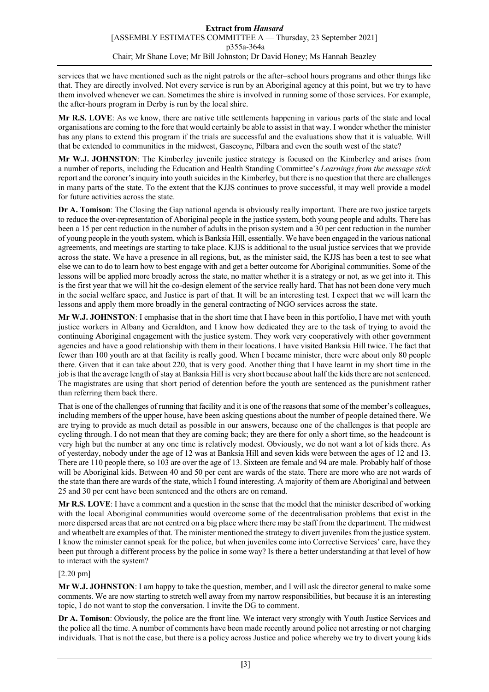services that we have mentioned such as the night patrols or the after–school hours programs and other things like that. They are directly involved. Not every service is run by an Aboriginal agency at this point, but we try to have them involved whenever we can. Sometimes the shire is involved in running some of those services. For example, the after-hours program in Derby is run by the local shire.

**Mr R.S. LOVE**: As we know, there are native title settlements happening in various parts of the state and local organisations are coming to the fore that would certainly be able to assist in that way. I wonder whether the minister has any plans to extend this program if the trials are successful and the evaluations show that it is valuable. Will that be extended to communities in the midwest, Gascoyne, Pilbara and even the south west of the state?

**Mr W.J. JOHNSTON**: The Kimberley juvenile justice strategy is focused on the Kimberley and arises from a number of reports, including the Education and Health Standing Committee's *Learnings from the message stick* report and the coroner's inquiry into youth suicides in the Kimberley, but there is no question that there are challenges in many parts of the state. To the extent that the KJJS continues to prove successful, it may well provide a model for future activities across the state.

**Dr A. Tomison**: The Closing the Gap national agenda is obviously really important. There are two justice targets to reduce the over-representation of Aboriginal people in the justice system, both young people and adults. There has been a 15 per cent reduction in the number of adults in the prison system and a 30 per cent reduction in the number of young people in the youth system, which is Banksia Hill, essentially. We have been engaged in the various national agreements, and meetings are starting to take place. KJJS is additional to the usual justice services that we provide across the state. We have a presence in all regions, but, as the minister said, the KJJS has been a test to see what else we can to do to learn how to best engage with and get a better outcome for Aboriginal communities. Some of the lessons will be applied more broadly across the state, no matter whether it is a strategy or not, as we get into it. This is the first year that we will hit the co-design element of the service really hard. That has not been done very much in the social welfare space, and Justice is part of that. It will be an interesting test. I expect that we will learn the lessons and apply them more broadly in the general contracting of NGO services across the state.

**Mr W.J. JOHNSTON**: I emphasise that in the short time that I have been in this portfolio, I have met with youth justice workers in Albany and Geraldton, and I know how dedicated they are to the task of trying to avoid the continuing Aboriginal engagement with the justice system. They work very cooperatively with other government agencies and have a good relationship with them in their locations. I have visited Banksia Hill twice. The fact that fewer than 100 youth are at that facility is really good. When I became minister, there were about only 80 people there. Given that it can take about 220, that is very good. Another thing that I have learnt in my short time in the job is that the average length of stay at Banksia Hill is very short because about half the kids there are not sentenced. The magistrates are using that short period of detention before the youth are sentenced as the punishment rather than referring them back there.

That is one of the challenges of running that facility and it is one of the reasons that some of the member's colleagues, including members of the upper house, have been asking questions about the number of people detained there. We are trying to provide as much detail as possible in our answers, because one of the challenges is that people are cycling through. I do not mean that they are coming back; they are there for only a short time, so the headcount is very high but the number at any one time is relatively modest. Obviously, we do not want a lot of kids there. As of yesterday, nobody under the age of 12 was at Banksia Hill and seven kids were between the ages of 12 and 13. There are 110 people there, so 103 are over the age of 13. Sixteen are female and 94 are male. Probably half of those will be Aboriginal kids. Between 40 and 50 per cent are wards of the state. There are more who are not wards of the state than there are wards of the state, which I found interesting. A majority of them are Aboriginal and between 25 and 30 per cent have been sentenced and the others are on remand.

**Mr R.S. LOVE**: I have a comment and a question in the sense that the model that the minister described of working with the local Aboriginal communities would overcome some of the decentralisation problems that exist in the more dispersed areas that are not centred on a big place where there may be staff from the department. The midwest and wheatbelt are examples of that. The minister mentioned the strategy to divert juveniles from the justice system. I know the minister cannot speak for the police, but when juveniles come into Corrective Services' care, have they been put through a different process by the police in some way? Is there a better understanding at that level of how to interact with the system?

# [2.20 pm]

**Mr W.J. JOHNSTON**: I am happy to take the question, member, and I will ask the director general to make some comments. We are now starting to stretch well away from my narrow responsibilities, but because it is an interesting topic, I do not want to stop the conversation. I invite the DG to comment.

**Dr A. Tomison**: Obviously, the police are the front line. We interact very strongly with Youth Justice Services and the police all the time. A number of comments have been made recently around police not arresting or not charging individuals. That is not the case, but there is a policy across Justice and police whereby we try to divert young kids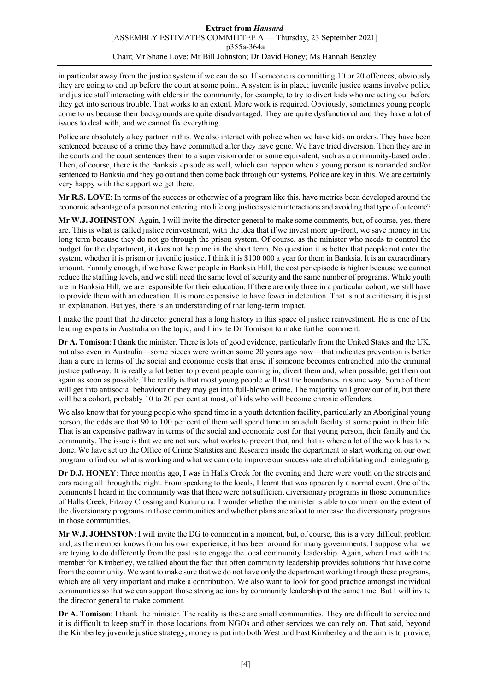in particular away from the justice system if we can do so. If someone is committing 10 or 20 offences, obviously they are going to end up before the court at some point. A system is in place; juvenile justice teams involve police and justice staff interacting with elders in the community, for example, to try to divert kids who are acting out before they get into serious trouble. That works to an extent. More work is required. Obviously, sometimes young people come to us because their backgrounds are quite disadvantaged. They are quite dysfunctional and they have a lot of issues to deal with, and we cannot fix everything.

Police are absolutely a key partner in this. We also interact with police when we have kids on orders. They have been sentenced because of a crime they have committed after they have gone. We have tried diversion. Then they are in the courts and the court sentences them to a supervision order or some equivalent, such as a community-based order. Then, of course, there is the Banksia episode as well, which can happen when a young person is remanded and/or sentenced to Banksia and they go out and then come back through our systems. Police are key in this. We are certainly very happy with the support we get there.

**Mr R.S. LOVE**: In terms of the success or otherwise of a program like this, have metrics been developed around the economic advantage of a person not entering into lifelong justice system interactions and avoiding that type of outcome?

**Mr W.J. JOHNSTON**: Again, I will invite the director general to make some comments, but, of course, yes, there are. This is what is called justice reinvestment, with the idea that if we invest more up-front, we save money in the long term because they do not go through the prison system. Of course, as the minister who needs to control the budget for the department, it does not help me in the short term. No question it is better that people not enter the system, whether it is prison or juvenile justice. I think it is \$100 000 a year for them in Banksia. It is an extraordinary amount. Funnily enough, if we have fewer people in Banksia Hill, the cost per episode is higher because we cannot reduce the staffing levels, and we still need the same level of security and the same number of programs. While youth are in Banksia Hill, we are responsible for their education. If there are only three in a particular cohort, we still have to provide them with an education. It is more expensive to have fewer in detention. That is not a criticism; it is just an explanation. But yes, there is an understanding of that long-term impact.

I make the point that the director general has a long history in this space of justice reinvestment. He is one of the leading experts in Australia on the topic, and I invite Dr Tomison to make further comment.

**Dr A. Tomison**: I thank the minister. There is lots of good evidence, particularly from the United States and the UK, but also even in Australia—some pieces were written some 20 years ago now—that indicates prevention is better than a cure in terms of the social and economic costs that arise if someone becomes entrenched into the criminal justice pathway. It is really a lot better to prevent people coming in, divert them and, when possible, get them out again as soon as possible. The reality is that most young people will test the boundaries in some way. Some of them will get into antisocial behaviour or they may get into full-blown crime. The majority will grow out of it, but there will be a cohort, probably 10 to 20 per cent at most, of kids who will become chronic offenders.

We also know that for young people who spend time in a youth detention facility, particularly an Aboriginal young person, the odds are that 90 to 100 per cent of them will spend time in an adult facility at some point in their life. That is an expensive pathway in terms of the social and economic cost for that young person, their family and the community. The issue is that we are not sure what works to prevent that, and that is where a lot of the work has to be done. We have set up the Office of Crime Statistics and Research inside the department to start working on our own program to find out what is working and what we can do to improve our success rate at rehabilitating and reintegrating.

**Dr D.J. HONEY**: Three months ago, I was in Halls Creek for the evening and there were youth on the streets and cars racing all through the night. From speaking to the locals, I learnt that was apparently a normal event. One of the comments I heard in the community was that there were not sufficient diversionary programs in those communities of Halls Creek, Fitzroy Crossing and Kununurra. I wonder whether the minister is able to comment on the extent of the diversionary programs in those communities and whether plans are afoot to increase the diversionary programs in those communities.

**Mr W.J. JOHNSTON**: I will invite the DG to comment in a moment, but, of course, this is a very difficult problem and, as the member knows from his own experience, it has been around for many governments. I suppose what we are trying to do differently from the past is to engage the local community leadership. Again, when I met with the member for Kimberley, we talked about the fact that often community leadership provides solutions that have come from the community. We want to make sure that we do not have only the department working through these programs, which are all very important and make a contribution. We also want to look for good practice amongst individual communities so that we can support those strong actions by community leadership at the same time. But I will invite the director general to make comment.

**Dr A. Tomison**: I thank the minister. The reality is these are small communities. They are difficult to service and it is difficult to keep staff in those locations from NGOs and other services we can rely on. That said, beyond the Kimberley juvenile justice strategy, money is put into both West and East Kimberley and the aim is to provide,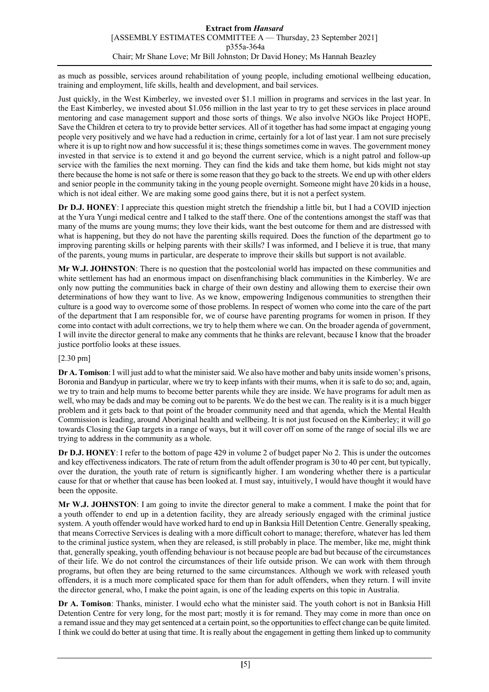as much as possible, services around rehabilitation of young people, including emotional wellbeing education, training and employment, life skills, health and development, and bail services.

Just quickly, in the West Kimberley, we invested over \$1.1 million in programs and services in the last year. In the East Kimberley, we invested about \$1.056 million in the last year to try to get these services in place around mentoring and case management support and those sorts of things. We also involve NGOs like Project HOPE, Save the Children et cetera to try to provide better services. All of it together has had some impact at engaging young people very positively and we have had a reduction in crime, certainly for a lot of last year. I am not sure precisely where it is up to right now and how successful it is; these things sometimes come in waves. The government money invested in that service is to extend it and go beyond the current service, which is a night patrol and follow-up service with the families the next morning. They can find the kids and take them home, but kids might not stay there because the home is not safe or there is some reason that they go back to the streets. We end up with other elders and senior people in the community taking in the young people overnight. Someone might have 20 kids in a house, which is not ideal either. We are making some good gains there, but it is not a perfect system.

**Dr D.J. HONEY**: I appreciate this question might stretch the friendship a little bit, but I had a COVID injection at the Yura Yungi medical centre and I talked to the staff there. One of the contentions amongst the staff was that many of the mums are young mums; they love their kids, want the best outcome for them and are distressed with what is happening, but they do not have the parenting skills required. Does the function of the department go to improving parenting skills or helping parents with their skills? I was informed, and I believe it is true, that many of the parents, young mums in particular, are desperate to improve their skills but support is not available.

**Mr W.J. JOHNSTON**: There is no question that the postcolonial world has impacted on these communities and white settlement has had an enormous impact on disenfranchising black communities in the Kimberley. We are only now putting the communities back in charge of their own destiny and allowing them to exercise their own determinations of how they want to live. As we know, empowering Indigenous communities to strengthen their culture is a good way to overcome some of those problems. In respect of women who come into the care of the part of the department that I am responsible for, we of course have parenting programs for women in prison. If they come into contact with adult corrections, we try to help them where we can. On the broader agenda of government, I will invite the director general to make any comments that he thinks are relevant, because I know that the broader justice portfolio looks at these issues.

# [2.30 pm]

**Dr A. Tomison**: I will just add to what the minister said. We also have mother and baby units inside women's prisons, Boronia and Bandyup in particular, where we try to keep infants with their mums, when it is safe to do so; and, again, we try to train and help mums to become better parents while they are inside. We have programs for adult men as well, who may be dads and may be coming out to be parents. We do the best we can. The reality is it is a much bigger problem and it gets back to that point of the broader community need and that agenda, which the Mental Health Commission is leading, around Aboriginal health and wellbeing. It is not just focused on the Kimberley; it will go towards Closing the Gap targets in a range of ways, but it will cover off on some of the range of social ills we are trying to address in the community as a whole.

**Dr D.J. HONEY**: I refer to the bottom of page 429 in volume 2 of budget paper No 2. This is under the outcomes and key effectiveness indicators. The rate of return from the adult offender program is 30 to 40 per cent, but typically, over the duration, the youth rate of return is significantly higher. I am wondering whether there is a particular cause for that or whether that cause has been looked at. I must say, intuitively, I would have thought it would have been the opposite.

**Mr W.J. JOHNSTON**: I am going to invite the director general to make a comment. I make the point that for a youth offender to end up in a detention facility, they are already seriously engaged with the criminal justice system. A youth offender would have worked hard to end up in Banksia Hill Detention Centre. Generally speaking, that means Corrective Services is dealing with a more difficult cohort to manage; therefore, whatever has led them to the criminal justice system, when they are released, is still probably in place. The member, like me, might think that, generally speaking, youth offending behaviour is not because people are bad but because of the circumstances of their life. We do not control the circumstances of their life outside prison. We can work with them through programs, but often they are being returned to the same circumstances. Although we work with released youth offenders, it is a much more complicated space for them than for adult offenders, when they return. I will invite the director general, who, I make the point again, is one of the leading experts on this topic in Australia.

**Dr A. Tomison**: Thanks, minister. I would echo what the minister said. The youth cohort is not in Banksia Hill Detention Centre for very long, for the most part; mostly it is for remand. They may come in more than once on a remand issue and they may get sentenced at a certain point, so the opportunities to effect change can be quite limited. I think we could do better at using that time. It is really about the engagement in getting them linked up to community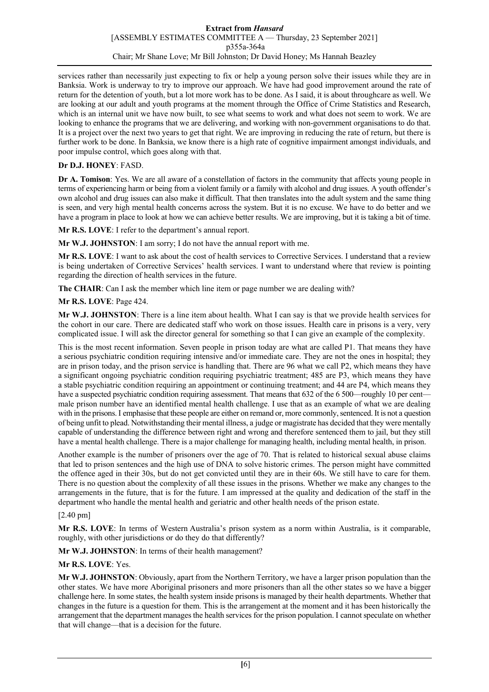services rather than necessarily just expecting to fix or help a young person solve their issues while they are in Banksia. Work is underway to try to improve our approach. We have had good improvement around the rate of return for the detention of youth, but a lot more work has to be done. As I said, it is about throughcare as well. We are looking at our adult and youth programs at the moment through the Office of Crime Statistics and Research, which is an internal unit we have now built, to see what seems to work and what does not seem to work. We are looking to enhance the programs that we are delivering, and working with non-government organisations to do that. It is a project over the next two years to get that right. We are improving in reducing the rate of return, but there is further work to be done. In Banksia, we know there is a high rate of cognitive impairment amongst individuals, and poor impulse control, which goes along with that.

# **Dr D.J. HONEY**: FASD.

**Dr A. Tomison**: Yes. We are all aware of a constellation of factors in the community that affects young people in terms of experiencing harm or being from a violent family or a family with alcohol and drug issues. A youth offender's own alcohol and drug issues can also make it difficult. That then translates into the adult system and the same thing is seen, and very high mental health concerns across the system. But it is no excuse. We have to do better and we have a program in place to look at how we can achieve better results. We are improving, but it is taking a bit of time.

**Mr R.S. LOVE**: I refer to the department's annual report.

**Mr W.J. JOHNSTON**: I am sorry; I do not have the annual report with me.

**Mr R.S. LOVE**: I want to ask about the cost of health services to Corrective Services. I understand that a review is being undertaken of Corrective Services' health services. I want to understand where that review is pointing regarding the direction of health services in the future.

**The CHAIR**: Can I ask the member which line item or page number we are dealing with?

# **Mr R.S. LOVE**: Page 424.

**Mr W.J. JOHNSTON**: There is a line item about health. What I can say is that we provide health services for the cohort in our care. There are dedicated staff who work on those issues. Health care in prisons is a very, very complicated issue. I will ask the director general for something so that I can give an example of the complexity.

This is the most recent information. Seven people in prison today are what are called P1. That means they have a serious psychiatric condition requiring intensive and/or immediate care. They are not the ones in hospital; they are in prison today, and the prison service is handling that. There are 96 what we call P2, which means they have a significant ongoing psychiatric condition requiring psychiatric treatment; 485 are P3, which means they have a stable psychiatric condition requiring an appointment or continuing treatment; and 44 are P4, which means they have a suspected psychiatric condition requiring assessment. That means that 632 of the 6 500—roughly 10 per cent male prison number have an identified mental health challenge. I use that as an example of what we are dealing with in the prisons. I emphasise that these people are either on remand or, more commonly, sentenced. It is not a question of being unfit to plead. Notwithstanding their mental illness, a judge or magistrate has decided that they were mentally capable of understanding the difference between right and wrong and therefore sentenced them to jail, but they still have a mental health challenge. There is a major challenge for managing health, including mental health, in prison.

Another example is the number of prisoners over the age of 70. That is related to historical sexual abuse claims that led to prison sentences and the high use of DNA to solve historic crimes. The person might have committed the offence aged in their 30s, but do not get convicted until they are in their 60s. We still have to care for them. There is no question about the complexity of all these issues in the prisons. Whether we make any changes to the arrangements in the future, that is for the future. I am impressed at the quality and dedication of the staff in the department who handle the mental health and geriatric and other health needs of the prison estate.

# [2.40 pm]

**Mr R.S. LOVE**: In terms of Western Australia's prison system as a norm within Australia, is it comparable, roughly, with other jurisdictions or do they do that differently?

**Mr W.J. JOHNSTON**: In terms of their health management?

# **Mr R.S. LOVE**: Yes.

**Mr W.J. JOHNSTON**: Obviously, apart from the Northern Territory, we have a larger prison population than the other states. We have more Aboriginal prisoners and more prisoners than all the other states so we have a bigger challenge here. In some states, the health system inside prisons is managed by their health departments. Whether that changes in the future is a question for them. This is the arrangement at the moment and it has been historically the arrangement that the department manages the health services for the prison population. I cannot speculate on whether that will change—that is a decision for the future.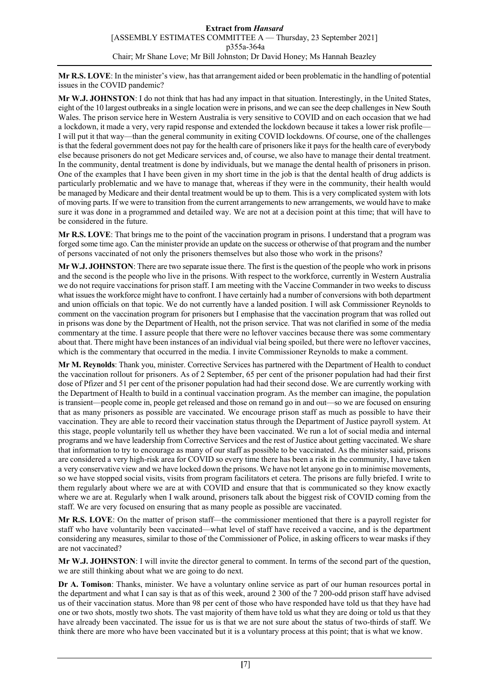**Mr R.S. LOVE**: In the minister's view, has that arrangement aided or been problematic in the handling of potential issues in the COVID pandemic?

**Mr W.J. JOHNSTON**: I do not think that has had any impact in that situation. Interestingly, in the United States, eight of the 10 largest outbreaks in a single location were in prisons, and we can see the deep challenges in New South Wales. The prison service here in Western Australia is very sensitive to COVID and on each occasion that we had a lockdown, it made a very, very rapid response and extended the lockdown because it takes a lower risk profile— I will put it that way—than the general community in exiting COVID lockdowns. Of course, one of the challenges is that the federal government does not pay for the health care of prisoners like it pays for the health care of everybody else because prisoners do not get Medicare services and, of course, we also have to manage their dental treatment. In the community, dental treatment is done by individuals, but we manage the dental health of prisoners in prison. One of the examples that I have been given in my short time in the job is that the dental health of drug addicts is particularly problematic and we have to manage that, whereas if they were in the community, their health would be managed by Medicare and their dental treatment would be up to them. This is a very complicated system with lots of moving parts. If we were to transition from the current arrangements to new arrangements, we would have to make sure it was done in a programmed and detailed way. We are not at a decision point at this time; that will have to be considered in the future.

**Mr R.S. LOVE**: That brings me to the point of the vaccination program in prisons. I understand that a program was forged some time ago. Can the minister provide an update on the success or otherwise of that program and the number of persons vaccinated of not only the prisoners themselves but also those who work in the prisons?

**Mr W.J. JOHNSTON**: There are two separate issue there. The first is the question of the people who work in prisons and the second is the people who live in the prisons. With respect to the workforce, currently in Western Australia we do not require vaccinations for prison staff. I am meeting with the Vaccine Commander in two weeks to discuss what issues the workforce might have to confront. I have certainly had a number of conversions with both department and union officials on that topic. We do not currently have a landed position. I will ask Commissioner Reynolds to comment on the vaccination program for prisoners but I emphasise that the vaccination program that was rolled out in prisons was done by the Department of Health, not the prison service. That was not clarified in some of the media commentary at the time. I assure people that there were no leftover vaccines because there was some commentary about that. There might have been instances of an individual vial being spoiled, but there were no leftover vaccines, which is the commentary that occurred in the media. I invite Commissioner Reynolds to make a comment.

**Mr M. Reynolds**: Thank you, minister. Corrective Services has partnered with the Department of Health to conduct the vaccination rollout for prisoners. As of 2 September, 65 per cent of the prisoner population had had their first dose of Pfizer and 51 per cent of the prisoner population had had their second dose. We are currently working with the Department of Health to build in a continual vaccination program. As the member can imagine, the population is transient—people come in, people get released and those on remand go in and out—so we are focused on ensuring that as many prisoners as possible are vaccinated. We encourage prison staff as much as possible to have their vaccination. They are able to record their vaccination status through the Department of Justice payroll system. At this stage, people voluntarily tell us whether they have been vaccinated. We run a lot of social media and internal programs and we have leadership from Corrective Services and the rest of Justice about getting vaccinated. We share that information to try to encourage as many of our staff as possible to be vaccinated. As the minister said, prisons are considered a very high-risk area for COVID so every time there has been a risk in the community, I have taken a very conservative view and we have locked down the prisons. We have not let anyone go in to minimise movements, so we have stopped social visits, visits from program facilitators et cetera. The prisons are fully briefed. I write to them regularly about where we are at with COVID and ensure that that is communicated so they know exactly where we are at. Regularly when I walk around, prisoners talk about the biggest risk of COVID coming from the staff. We are very focused on ensuring that as many people as possible are vaccinated.

**Mr R.S. LOVE**: On the matter of prison staff—the commissioner mentioned that there is a payroll register for staff who have voluntarily been vaccinated—what level of staff have received a vaccine, and is the department considering any measures, similar to those of the Commissioner of Police, in asking officers to wear masks if they are not vaccinated?

**Mr W.J. JOHNSTON**: I will invite the director general to comment. In terms of the second part of the question, we are still thinking about what we are going to do next.

**Dr A. Tomison**: Thanks, minister. We have a voluntary online service as part of our human resources portal in the department and what I can say is that as of this week, around 2 300 of the 7 200-odd prison staff have advised us of their vaccination status. More than 98 per cent of those who have responded have told us that they have had one or two shots, mostly two shots. The vast majority of them have told us what they are doing or told us that they have already been vaccinated. The issue for us is that we are not sure about the status of two-thirds of staff. We think there are more who have been vaccinated but it is a voluntary process at this point; that is what we know.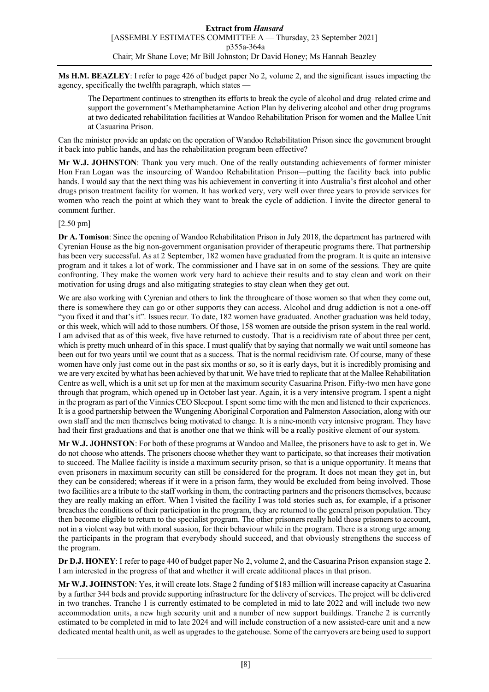**Ms H.M. BEAZLEY**: I refer to page 426 of budget paper No 2, volume 2, and the significant issues impacting the agency, specifically the twelfth paragraph, which states —

The Department continues to strengthen its efforts to break the cycle of alcohol and drug–related crime and support the government's Methamphetamine Action Plan by delivering alcohol and other drug programs at two dedicated rehabilitation facilities at Wandoo Rehabilitation Prison for women and the Mallee Unit at Casuarina Prison.

Can the minister provide an update on the operation of Wandoo Rehabilitation Prison since the government brought it back into public hands, and has the rehabilitation program been effective?

**Mr W.J. JOHNSTON**: Thank you very much. One of the really outstanding achievements of former minister Hon Fran Logan was the insourcing of Wandoo Rehabilitation Prison—putting the facility back into public hands. I would say that the next thing was his achievement in converting it into Australia's first alcohol and other drugs prison treatment facility for women. It has worked very, very well over three years to provide services for women who reach the point at which they want to break the cycle of addiction. I invite the director general to comment further.

### [2.50 pm]

**Dr A. Tomison**: Since the opening of Wandoo Rehabilitation Prison in July 2018, the department has partnered with Cyrenian House as the big non-government organisation provider of therapeutic programs there. That partnership has been very successful. As at 2 September, 182 women have graduated from the program. It is quite an intensive program and it takes a lot of work. The commissioner and I have sat in on some of the sessions. They are quite confronting. They make the women work very hard to achieve their results and to stay clean and work on their motivation for using drugs and also mitigating strategies to stay clean when they get out.

We are also working with Cyrenian and others to link the throughcare of those women so that when they come out, there is somewhere they can go or other supports they can access. Alcohol and drug addiction is not a one-off "you fixed it and that's it". Issues recur. To date, 182 women have graduated. Another graduation was held today, or this week, which will add to those numbers. Of those, 158 women are outside the prison system in the real world. I am advised that as of this week, five have returned to custody. That is a recidivism rate of about three per cent, which is pretty much unheard of in this space. I must qualify that by saying that normally we wait until someone has been out for two years until we count that as a success. That is the normal recidivism rate. Of course, many of these women have only just come out in the past six months or so, so it is early days, but it is incredibly promising and we are very excited by what has been achieved by that unit. We have tried to replicate that at the Mallee Rehabilitation Centre as well, which is a unit set up for men at the maximum security Casuarina Prison. Fifty-two men have gone through that program, which opened up in October last year. Again, it is a very intensive program. I spent a night in the program as part of the Vinnies CEO Sleepout. I spent some time with the men and listened to their experiences. It is a good partnership between the Wungening Aboriginal Corporation and Palmerston Association, along with our own staff and the men themselves being motivated to change. It is a nine-month very intensive program. They have had their first graduations and that is another one that we think will be a really positive element of our system.

**Mr W.J. JOHNSTON**: For both of these programs at Wandoo and Mallee, the prisoners have to ask to get in. We do not choose who attends. The prisoners choose whether they want to participate, so that increases their motivation to succeed. The Mallee facility is inside a maximum security prison, so that is a unique opportunity. It means that even prisoners in maximum security can still be considered for the program. It does not mean they get in, but they can be considered; whereas if it were in a prison farm, they would be excluded from being involved. Those two facilities are a tribute to the staff working in them, the contracting partners and the prisoners themselves, because they are really making an effort. When I visited the facility I was told stories such as, for example, if a prisoner breaches the conditions of their participation in the program, they are returned to the general prison population. They then become eligible to return to the specialist program. The other prisoners really hold those prisoners to account, not in a violent way but with moral suasion, for their behaviour while in the program. There is a strong urge among the participants in the program that everybody should succeed, and that obviously strengthens the success of the program.

**Dr D.J. HONEY**: I refer to page 440 of budget paper No 2, volume 2, and the Casuarina Prison expansion stage 2. I am interested in the progress of that and whether it will create additional places in that prison.

**Mr W.J. JOHNSTON**: Yes, it will create lots. Stage 2 funding of \$183 million will increase capacity at Casuarina by a further 344 beds and provide supporting infrastructure for the delivery of services. The project will be delivered in two tranches. Tranche 1 is currently estimated to be completed in mid to late 2022 and will include two new accommodation units, a new high security unit and a number of new support buildings. Tranche 2 is currently estimated to be completed in mid to late 2024 and will include construction of a new assisted-care unit and a new dedicated mental health unit, as well as upgrades to the gatehouse. Some of the carryovers are being used to support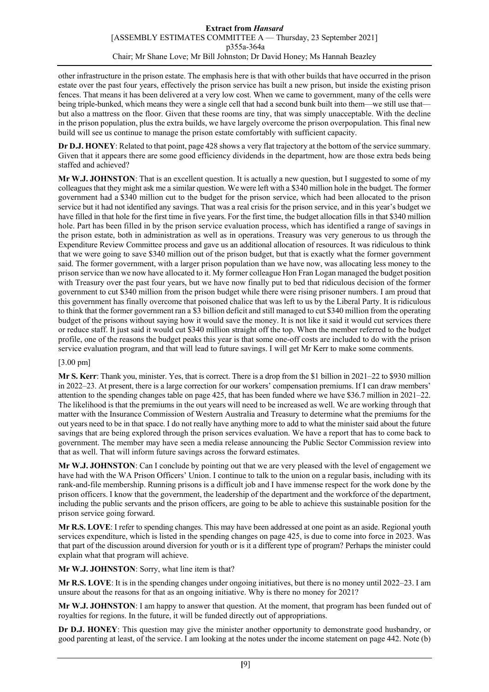other infrastructure in the prison estate. The emphasis here is that with other builds that have occurred in the prison estate over the past four years, effectively the prison service has built a new prison, but inside the existing prison fences. That means it has been delivered at a very low cost. When we came to government, many of the cells were being triple-bunked, which means they were a single cell that had a second bunk built into them—we still use that but also a mattress on the floor. Given that these rooms are tiny, that was simply unacceptable. With the decline in the prison population, plus the extra builds, we have largely overcome the prison overpopulation. This final new build will see us continue to manage the prison estate comfortably with sufficient capacity.

**Dr D.J. HONEY**: Related to that point, page 428 shows a very flat trajectory at the bottom of the service summary. Given that it appears there are some good efficiency dividends in the department, how are those extra beds being staffed and achieved?

**Mr W.J. JOHNSTON**: That is an excellent question. It is actually a new question, but I suggested to some of my colleagues that they might ask me a similar question. We were left with a \$340 million hole in the budget. The former government had a \$340 million cut to the budget for the prison service, which had been allocated to the prison service but it had not identified any savings. That was a real crisis for the prison service, and in this year's budget we have filled in that hole for the first time in five years. For the first time, the budget allocation fills in that \$340 million hole. Part has been filled in by the prison service evaluation process, which has identified a range of savings in the prison estate, both in administration as well as in operations. Treasury was very generous to us through the Expenditure Review Committee process and gave us an additional allocation of resources. It was ridiculous to think that we were going to save \$340 million out of the prison budget, but that is exactly what the former government said. The former government, with a larger prison population than we have now, was allocating less money to the prison service than we now have allocated to it. My former colleague Hon Fran Logan managed the budget position with Treasury over the past four years, but we have now finally put to bed that ridiculous decision of the former government to cut \$340 million from the prison budget while there were rising prisoner numbers. I am proud that this government has finally overcome that poisoned chalice that was left to us by the Liberal Party. It is ridiculous to think that the former government ran a \$3 billion deficit and still managed to cut \$340 million from the operating budget of the prisons without saying how it would save the money. It is not like it said it would cut services there or reduce staff. It just said it would cut \$340 million straight off the top. When the member referred to the budget profile, one of the reasons the budget peaks this year is that some one-off costs are included to do with the prison service evaluation program, and that will lead to future savings. I will get Mr Kerr to make some comments.

# [3.00 pm]

**Mr S. Kerr**: Thank you, minister. Yes, that is correct. There is a drop from the \$1 billion in 2021–22 to \$930 million in 2022–23. At present, there is a large correction for our workers' compensation premiums. If I can draw members' attention to the spending changes table on page 425, that has been funded where we have \$36.7 million in 2021–22. The likelihood is that the premiums in the out years will need to be increased as well. We are working through that matter with the Insurance Commission of Western Australia and Treasury to determine what the premiums for the out years need to be in that space. I do not really have anything more to add to what the minister said about the future savings that are being explored through the prison services evaluation. We have a report that has to come back to government. The member may have seen a media release announcing the Public Sector Commission review into that as well. That will inform future savings across the forward estimates.

**Mr W.J. JOHNSTON**: Can I conclude by pointing out that we are very pleased with the level of engagement we have had with the WA Prison Officers' Union. I continue to talk to the union on a regular basis, including with its rank-and-file membership. Running prisons is a difficult job and I have immense respect for the work done by the prison officers. I know that the government, the leadership of the department and the workforce of the department, including the public servants and the prison officers, are going to be able to achieve this sustainable position for the prison service going forward.

**Mr R.S. LOVE**: I refer to spending changes. This may have been addressed at one point as an aside. Regional youth services expenditure, which is listed in the spending changes on page 425, is due to come into force in 2023. Was that part of the discussion around diversion for youth or is it a different type of program? Perhaps the minister could explain what that program will achieve.

**Mr W.J. JOHNSTON**: Sorry, what line item is that?

**Mr R.S. LOVE**: It is in the spending changes under ongoing initiatives, but there is no money until 2022–23. I am unsure about the reasons for that as an ongoing initiative. Why is there no money for 2021?

**Mr W.J. JOHNSTON**: I am happy to answer that question. At the moment, that program has been funded out of royalties for regions. In the future, it will be funded directly out of appropriations.

**Dr D.J. HONEY**: This question may give the minister another opportunity to demonstrate good husbandry, or good parenting at least, of the service. I am looking at the notes under the income statement on page 442. Note (b)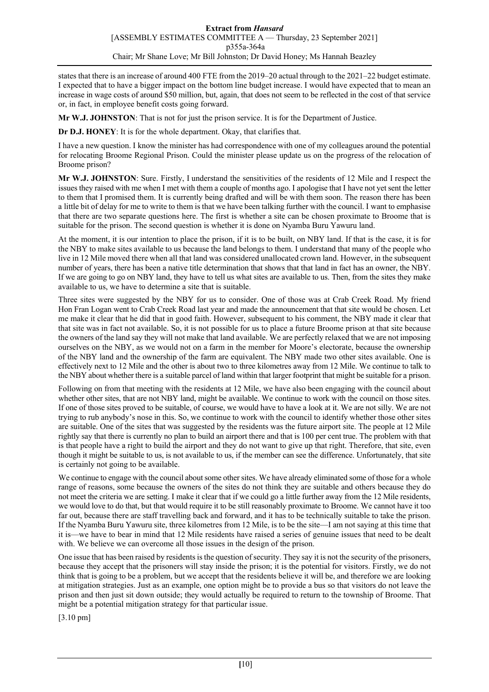states that there is an increase of around 400 FTE from the 2019–20 actual through to the 2021–22 budget estimate. I expected that to have a bigger impact on the bottom line budget increase. I would have expected that to mean an increase in wage costs of around \$50 million, but, again, that does not seem to be reflected in the cost of that service or, in fact, in employee benefit costs going forward.

**Mr W.J. JOHNSTON**: That is not for just the prison service. It is for the Department of Justice.

**Dr D.J. HONEY**: It is for the whole department. Okay, that clarifies that.

I have a new question. I know the minister has had correspondence with one of my colleagues around the potential for relocating Broome Regional Prison. Could the minister please update us on the progress of the relocation of Broome prison?

**Mr W.J. JOHNSTON**: Sure. Firstly, I understand the sensitivities of the residents of 12 Mile and I respect the issues they raised with me when I met with them a couple of months ago. I apologise that I have not yet sent the letter to them that I promised them. It is currently being drafted and will be with them soon. The reason there has been a little bit of delay for me to write to them is that we have been talking further with the council. I want to emphasise that there are two separate questions here. The first is whether a site can be chosen proximate to Broome that is suitable for the prison. The second question is whether it is done on Nyamba Buru Yawuru land.

At the moment, it is our intention to place the prison, if it is to be built, on NBY land. If that is the case, it is for the NBY to make sites available to us because the land belongs to them. I understand that many of the people who live in 12 Mile moved there when all that land was considered unallocated crown land. However, in the subsequent number of years, there has been a native title determination that shows that that land in fact has an owner, the NBY. If we are going to go on NBY land, they have to tell us what sites are available to us. Then, from the sites they make available to us, we have to determine a site that is suitable.

Three sites were suggested by the NBY for us to consider. One of those was at Crab Creek Road. My friend Hon Fran Logan went to Crab Creek Road last year and made the announcement that that site would be chosen. Let me make it clear that he did that in good faith. However, subsequent to his comment, the NBY made it clear that that site was in fact not available. So, it is not possible for us to place a future Broome prison at that site because the owners of the land say they will not make that land available. We are perfectly relaxed that we are not imposing ourselves on the NBY, as we would not on a farm in the member for Moore's electorate, because the ownership of the NBY land and the ownership of the farm are equivalent. The NBY made two other sites available. One is effectively next to 12 Mile and the other is about two to three kilometres away from 12 Mile. We continue to talk to the NBY about whether there is a suitable parcel of land within that larger footprint that might be suitable for a prison.

Following on from that meeting with the residents at 12 Mile, we have also been engaging with the council about whether other sites, that are not NBY land, might be available. We continue to work with the council on those sites. If one of those sites proved to be suitable, of course, we would have to have a look at it. We are not silly. We are not trying to rub anybody's nose in this. So, we continue to work with the council to identify whether those other sites are suitable. One of the sites that was suggested by the residents was the future airport site. The people at 12 Mile rightly say that there is currently no plan to build an airport there and that is 100 per cent true. The problem with that is that people have a right to build the airport and they do not want to give up that right. Therefore, that site, even though it might be suitable to us, is not available to us, if the member can see the difference. Unfortunately, that site is certainly not going to be available.

We continue to engage with the council about some other sites. We have already eliminated some of those for a whole range of reasons, some because the owners of the sites do not think they are suitable and others because they do not meet the criteria we are setting. I make it clear that if we could go a little further away from the 12 Mile residents, we would love to do that, but that would require it to be still reasonably proximate to Broome. We cannot have it too far out, because there are staff travelling back and forward, and it has to be technically suitable to take the prison. If the Nyamba Buru Yawuru site, three kilometres from 12 Mile, is to be the site—I am not saying at this time that it is—we have to bear in mind that 12 Mile residents have raised a series of genuine issues that need to be dealt with. We believe we can overcome all those issues in the design of the prison.

One issue that has been raised by residents is the question of security. They say it is not the security of the prisoners, because they accept that the prisoners will stay inside the prison; it is the potential for visitors. Firstly, we do not think that is going to be a problem, but we accept that the residents believe it will be, and therefore we are looking at mitigation strategies. Just as an example, one option might be to provide a bus so that visitors do not leave the prison and then just sit down outside; they would actually be required to return to the township of Broome. That might be a potential mitigation strategy for that particular issue.

[3.10 pm]